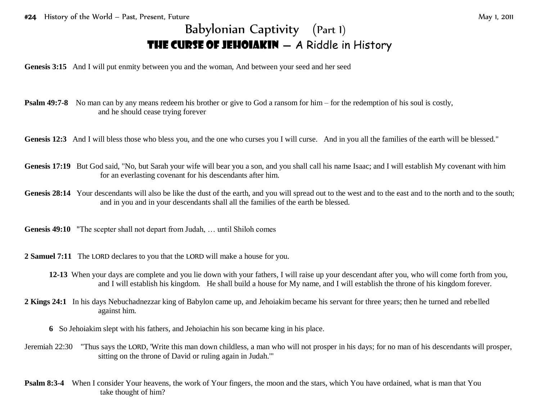**Genesis 3:15** And I will put enmity between you and the woman, And between your seed and her seed

- **Psalm 49:7-8** No man can by any means redeem his brother or give to God a ransom for him for the redemption of his soul is costly, and he should cease trying forever
- Genesis 12:3 And I will bless those who bless you, and the one who curses you I will curse. And in you all the families of the earth will be blessed."
- Genesis 17:19 But God said, "No, but Sarah your wife will bear you a son, and you shall call his name Isaac; and I will establish My covenant with him for an everlasting covenant for his descendants after him.
- Genesis 28:14 Your descendants will also be like the dust of the earth, and you will spread out to the west and to the east and to the north and to the south; and in you and in your descendants shall all the families of the earth be blessed.
- **Genesis 49:10** "The scepter shall not depart from Judah, … until Shiloh comes
- **2 Samuel 7:11** The LORD declares to you that the LORD will make a house for you.
	- **12-13** When your days are complete and you lie down with your fathers, I will raise up your descendant after you, who will come forth from you, and I will establish his kingdom. He shall build a house for My name, and I will establish the throne of his kingdom forever.
- **2 Kings 24:1** In his days Nebuchadnezzar king of Babylon came up, and Jehoiakim became his servant for three years; then he turned and rebelled against him.
	- **6** So Jehoiakim slept with his fathers, and Jehoiachin his son became king in his place.
- Jeremiah 22:30 "Thus says the LORD, 'Write this man down childless, a man who will not prosper in his days; for no man of his descendants will prosper, sitting on the throne of David or ruling again in Judah.'"
- **Psalm 8:3-4** When I consider Your heavens, the work of Your fingers, the moon and the stars, which You have ordained, what is man that You take thought of him?